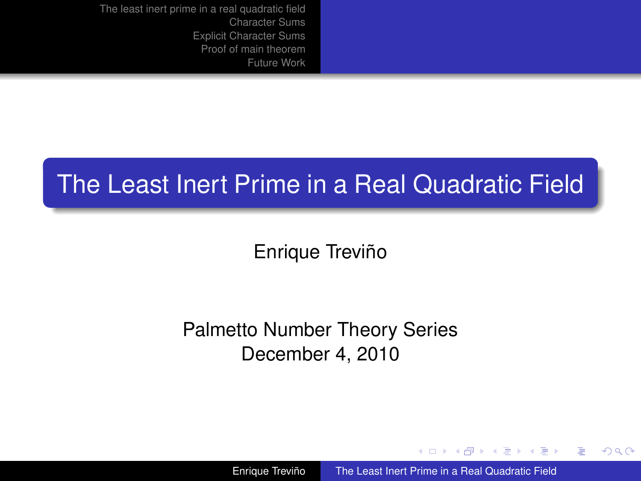## The Least Inert Prime in a Real Quadratic Field

Enrique Treviño

Palmetto Number Theory Series December 4, 2010

Enrique Treviño [The Least Inert Prime in a Real Quadratic Field](#page-25-0)

イロメ イ押 メイヨメ イヨメ

<span id="page-0-0"></span>G.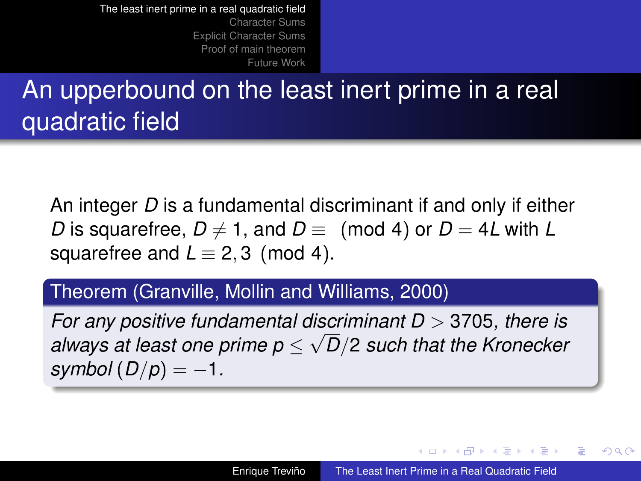[Character Sums](#page-5-0) [Explicit Character Sums](#page-9-0) [Proof of main theorem](#page-16-0) [Future Work](#page-24-0)

# An upperbound on the least inert prime in a real quadratic field

An integer *D* is a fundamental discriminant if and only if either *D* is squarefree,  $D \neq 1$ , and  $D \equiv$  (mod 4) or  $D = 4L$  with L squarefree and  $L \equiv 2, 3 \pmod{4}$ .

#### Theorem (Granville, Mollin and Williams, 2000)

*For any positive fundamental discriminant D* > 3705*, there is* √ *always at least one prime p* ≤ *D*/2 *such that the Kronecker*  $symbol(D/p) = -1$ .

イロメ イ押 メイヨメ イヨメ

<span id="page-1-0"></span>ă,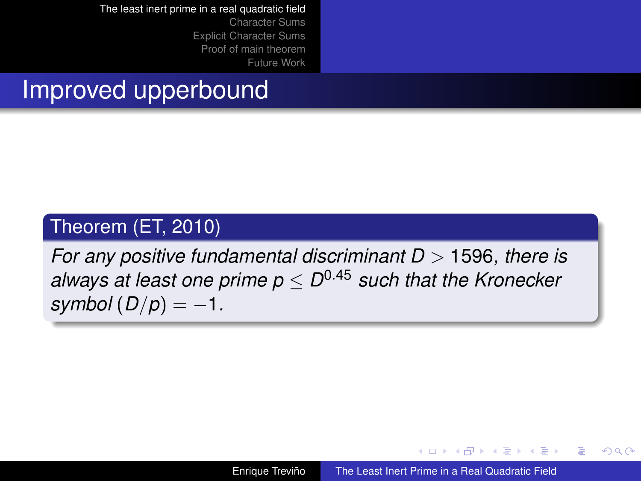[Character Sums](#page-5-0) [Explicit Character Sums](#page-9-0) [Proof of main theorem](#page-16-0) [Future Work](#page-24-0)

## Improved upperbound

#### Theorem (ET, 2010)

*For any positive fundamental discriminant D* > 1596*, there is always at least one prime p* ≤ *D* <sup>0</sup>.<sup>45</sup> *such that the Kronecker*  $symbol(D/p) = -1$ .

Enrique Treviño [The Least Inert Prime in a Real Quadratic Field](#page-0-0)

4 ロ ) (何 ) (日 ) (日 )

B

 $QQ$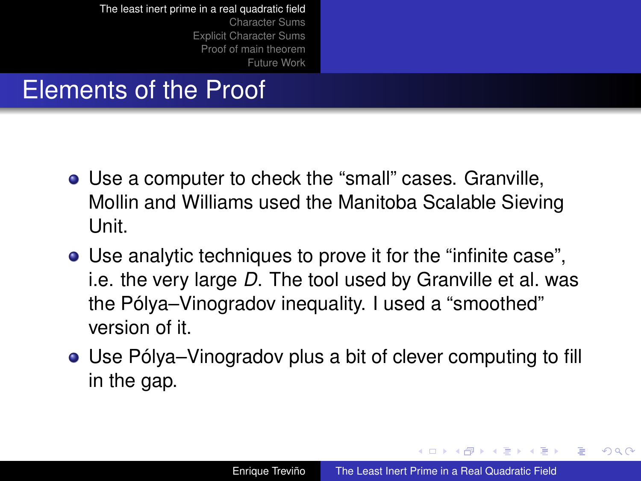[Character Sums](#page-5-0) [Explicit Character Sums](#page-9-0) [Proof of main theorem](#page-16-0) [Future Work](#page-24-0)

## Elements of the Proof

- Use a computer to check the "small" cases. Granville, Mollin and Williams used the Manitoba Scalable Sieving Unit.
- Use analytic techniques to prove it for the "infinite case", i.e. the very large *D*. The tool used by Granville et al. was the Pólya–Vinogradov inequality. I used a "smoothed" version of it.
- Use Pólya–Vinogradov plus a bit of clever computing to fill in the gap.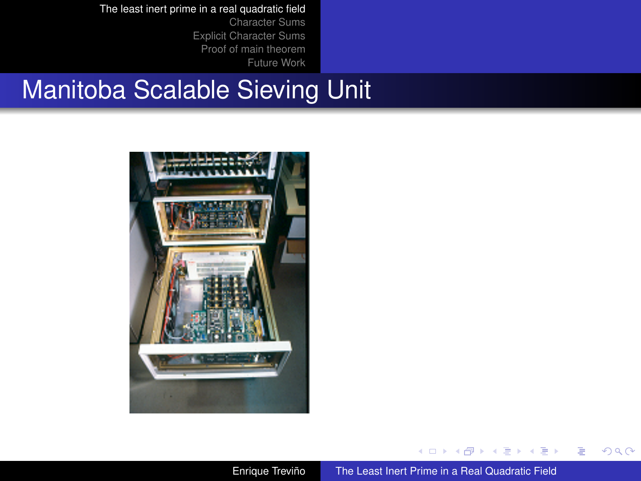[Character Sums](#page-5-0) [Explicit Character Sums](#page-9-0) [Proof of main theorem](#page-16-0) [Future Work](#page-24-0)

## Manitoba Scalable Sieving Unit



€ □ 下 ← 一个 →  $\mathbf{p}$  $\rightarrow$   $\equiv$   $\rightarrow$ 

É  $\sim$ 

 $\equiv$ 

 $2990$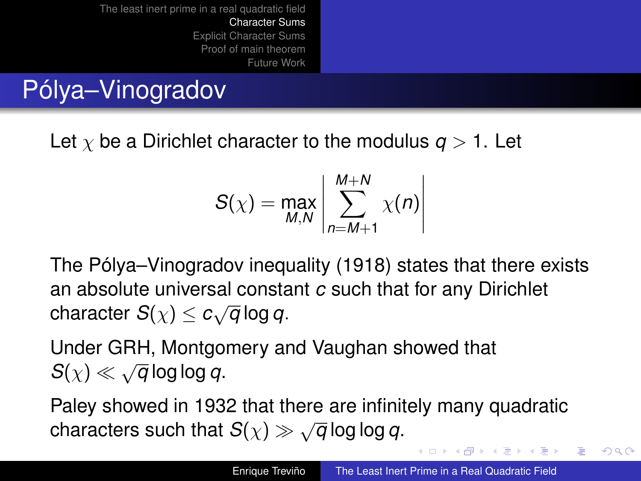# Pólya–Vinogradov

Let  $\chi$  be a Dirichlet character to the modulus  $q > 1$ . Let

$$
S(\chi) = \max_{M,N} \left| \sum_{n=M+1}^{M+N} \chi(n) \right|
$$

The Pólya–Vinogradov inequality (1918) states that there exists an absolute universal constant *c* such that for any Dirichlet  $\alpha$  is absolute annotical constant  $\alpha$ 

Under GRH, Montgomery and Vaughan showed that  $S(\chi) \ll \sqrt{q} \log \log q$ .

Paley showed in 1932 that there are infinitely many quadratic characters such that  $S(\chi) \gg \sqrt{q} \log \log q$ .

<span id="page-5-0"></span>K ロ ⊁ K 何 ≯ K ヨ ⊁ K ヨ ⊁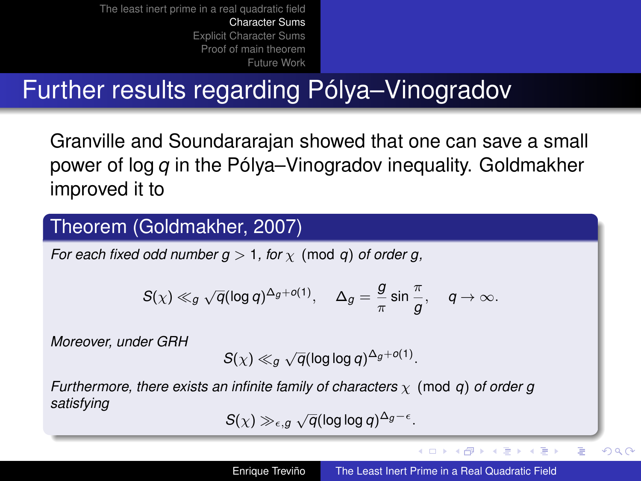# Further results regarding Pólya–Vinogradov

Granville and Soundararajan showed that one can save a small power of log *q* in the Pólya–Vinogradov inequality. Goldmakher improved it to

#### Theorem (Goldmakher, 2007)

*For each fixed odd number g > 1, for*  $\chi$  (mod *q*) *of order g,* 

$$
S(\chi) \ll_g \sqrt{q}(\log q)^{\Delta_g+o(1)}, \quad \Delta_g = \frac{g}{\pi} \sin \frac{\pi}{g}, \quad q \to \infty.
$$

*Moreover, under GRH*

$$
S(\chi) \ll_g \sqrt{q} (\log \log q)^{\Delta_g + o(1)}.
$$

*Furthermore, there exists an infinite family of characters* χ (mod *q*) *of order g satisfying* √

$$
S(\chi) \gg_{\epsilon,g} \sqrt{q}(\log\log q)^{\Delta_g-\epsilon}
$$

.

**K ロ ト K 伺 ト K ヨ ト K ヨ ト** 

 $\equiv$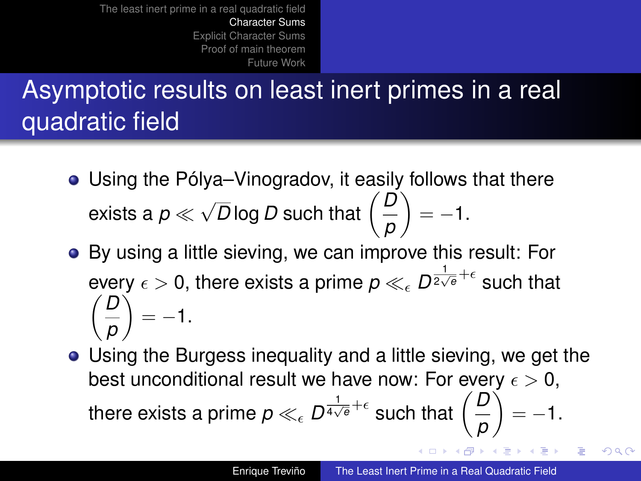# Asymptotic results on least inert primes in a real quadratic field

- Using the Pólya–Vinogradov, it easily follows that there exists a *p* √ *<sup>D</sup>* log *<sup>D</sup>* such that *D p*  $= -1.$
- By using a little sieving, we can improve this result: For every  $\epsilon > 0$ , there exists a prime  $p \ll_{\epsilon} D^{\frac{1}{2\sqrt{\theta}} + \epsilon}$  such that *D p*  $\Big) = -1.$
- Using the Burgess inequality and a little sieving, we get the best unconditional result we have now: For every  $\epsilon > 0$ , there exists a prime  $\rho \ll_{\epsilon} D^{\frac{1}{4\sqrt{\theta}} + \epsilon}$  such that  $\Big(\frac{D}{D}\Big)$  $= -1.$ *p* **K ロ ト K 何 ト K ヨ ト K ヨ ト**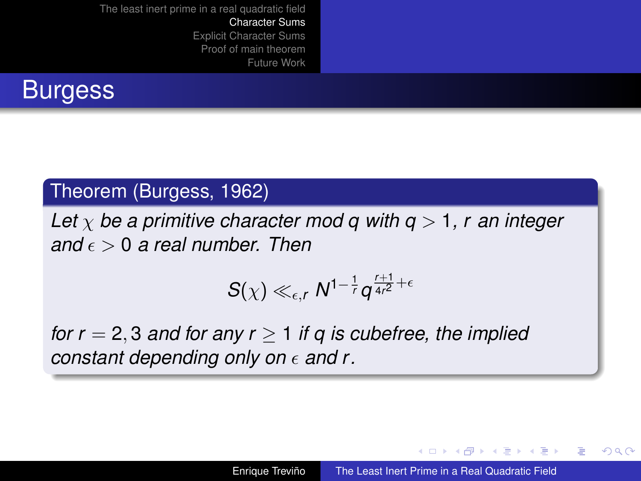

### Theorem (Burgess, 1962)

*Let*  $\chi$  *be a primitive character mod q with q > 1, r an integer and*  $\epsilon > 0$  *a real number. Then* 

$$
S(\chi) \ll_{\epsilon,r} N^{1-\frac{1}{r}} q^{\frac{r+1}{4r^2}+\epsilon}
$$

*for r* = 2, 3 *and for any r*  $\geq$  1 *if q is cubefree, the implied constant depending only on*  $\epsilon$  and r.

イロメ イ押 メイヨメ イヨメ

ă,  $QQ$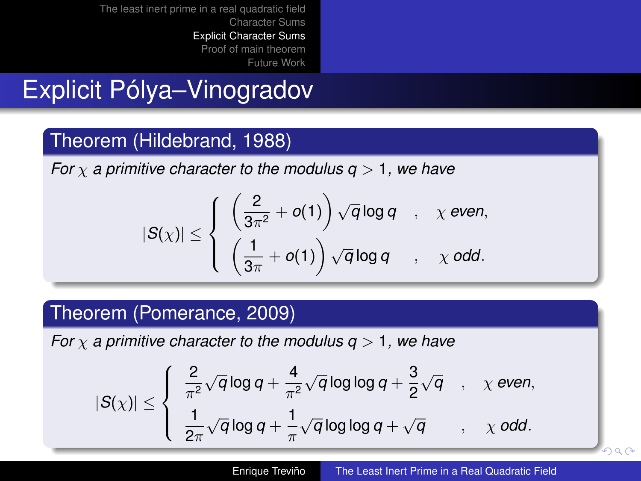## Explicit Pólya–Vinogradov

### Theorem (Hildebrand, 1988)

*For* χ *a primitive character to the modulus q* > 1*, we have*

$$
|S(\chi)| \leq \left\{ \begin{array}{lcl} \left(\frac{2}{3\pi^2} + o(1)\right) \sqrt{q} \log q & , & \chi \text{ even}, \\[1ex] \left(\frac{1}{3\pi} + o(1)\right) \sqrt{q} \log q & , & \chi \text{ odd}. \end{array} \right.
$$

### Theorem (Pomerance, 2009)

*For*  $\chi$  *a primitive character to the modulus q > 1, we have* 

$$
|S(\chi)| \leq \left\{ \begin{array}{ll} \frac{2}{\pi^2} \sqrt{q} \log q + \frac{4}{\pi^2} \sqrt{q} \log \log q + \frac{3}{2} \sqrt{q} & , & \chi \text{ even}, \\ \\ \frac{1}{2\pi} \sqrt{q} \log q + \frac{1}{\pi} \sqrt{q} \log \log q + \sqrt{q} & , & \chi \text{ odd}. \end{array} \right.
$$

<span id="page-9-0"></span> $\alpha \alpha$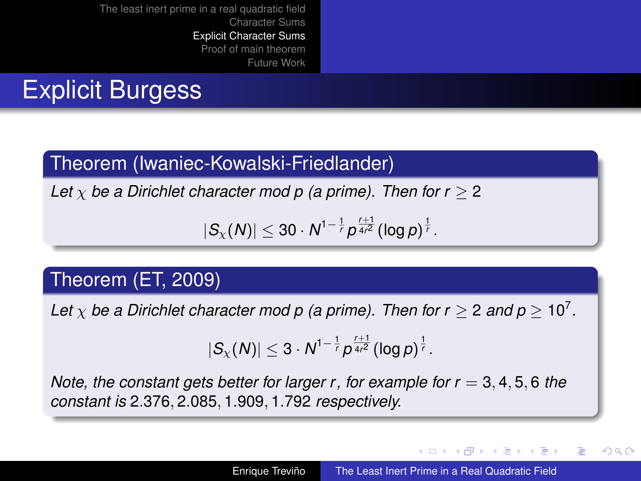## Explicit Burgess

### Theorem (Iwaniec-Kowalski-Friedlander)

*Let*  $\chi$  *be a Dirichlet character mod p (a prime). Then for r*  $\geq$  *2* 

$$
|S_{\chi}(N)| \leq 30 \cdot N^{1-\frac{1}{r}} p^{\frac{r+1}{4r^2}} (\log p)^{\frac{1}{r}}.
$$

### Theorem (ET, 2009)

Let  $\chi$  be a Dirichlet character mod p (a prime). Then for  $r \geq 2$  and  $p \geq 10^7$ .

$$
|S_{\chi}(N)| \leq 3 \cdot N^{1-\frac{1}{r}} p^{\frac{r+1}{4r^2}} (\log p)^{\frac{1}{r}}.
$$

*Note, the constant gets better for larger r, for example for*  $r = 3, 4, 5, 6$  *the constant is* 2.376, 2.085, 1.909, 1.792 *respectively.*

イロメ イ押 メイヨメ イヨメ

 $2Q$ 

€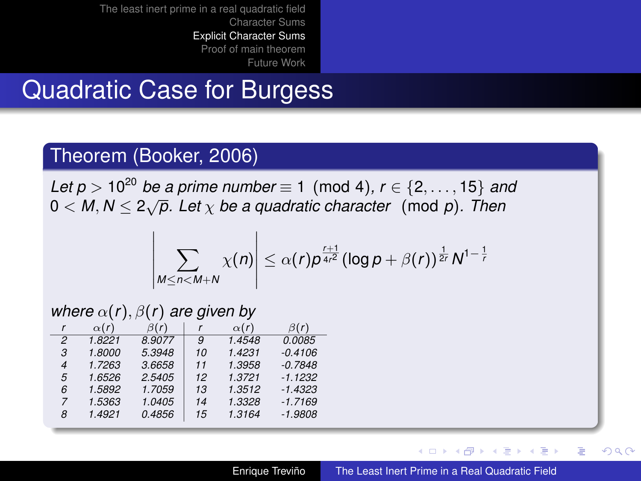## Quadratic Case for Burgess

#### Theorem (Booker, 2006)

*Let p* > 10<sup>20</sup> *be a prime number*  $\equiv$  1 (mod 4),  $r \in \{2, ..., 15\}$  *and*  $0 < M, N \leq 2\sqrt{p}$ . Let  $\chi$  be a quadratic character (mod *p*). Then

$$
\left|\sum_{M\leq n
$$

#### *where*  $\alpha(r)$ ,  $\beta(r)$  *are given by*

|   | $\alpha(r)$ | $\beta(r)$ |    | $\alpha(r)$ | $\beta(r)$ |
|---|-------------|------------|----|-------------|------------|
| 2 | 1.8221      | 8.9077     | 9  | 1.4548      | 0.0085     |
| 3 | 1.8000      | 5.3948     | 10 | 1.4231      | $-0.4106$  |
| 4 | 1.7263      | 3.6658     | 11 | 1.3958      | $-0.7848$  |
| 5 | 1.6526      | 2.5405     | 12 | 1.3721      | $-1.1232$  |
| 6 | 1.5892      | 1.7059     | 13 | 1.3512      | $-1.4323$  |
| 7 | 1.5363      | 1.0405     | 14 | 1.3328      | $-1.7169$  |
| 8 | 1.4921      | 0.4856     | 15 | 1.3164      | $-1.9808$  |

(ロ) (伊)

ミト イヨト

ă,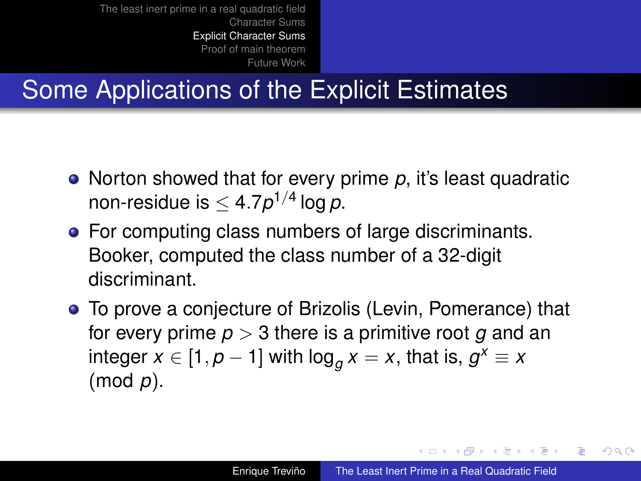# Some Applications of the Explicit Estimates

- Norton showed that for every prime p, it's least quadratic non-residue is  $\leq 4.7p^{1/4}\log p.$
- For computing class numbers of large discriminants. Booker, computed the class number of a 32-digit discriminant.
- To prove a conjecture of Brizolis (Levin, Pomerance) that for every prime *p* > 3 there is a primitive root *g* and an  $\mathsf{integer}\ x \in [1,p-1]$  with  $\mathsf{log}_g x = x$ , that is,  $g^x \equiv x$ (mod *p*).

イロト イ押 トイヨ トイヨ トー

ă,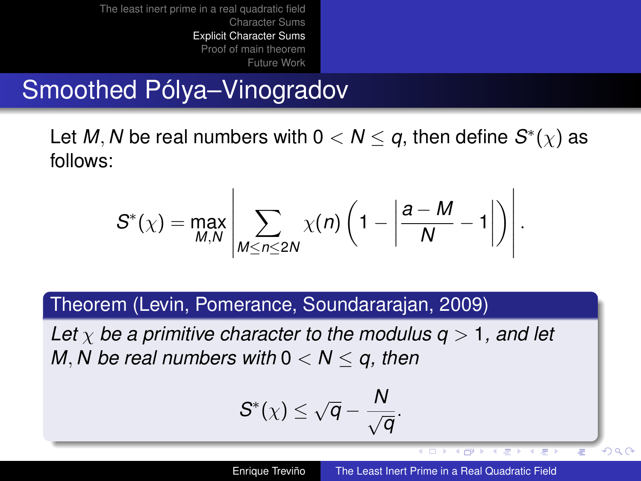## Smoothed Pólya–Vinogradov

Let M, N be real numbers with  $0 < N \leq q$ , then define  $S^*(\chi)$  as follows:

$$
S^*(\chi) = \max_{M,N} \left| \sum_{M \leq n \leq 2N} \chi(n) \left(1 - \left|\frac{a-M}{N} - 1\right|\right) \right|
$$

Theorem (Levin, Pomerance, Soundararajan, 2009)

*Let*  $\chi$  *be a primitive character to the modulus q > 1, and let M*, *N* be real numbers with  $0 < N \le q$ , then

$$
S^*(\chi) \leq \sqrt{q} - \frac{N}{\sqrt{q}}.
$$

 $\leftarrow$   $\Box$ 

.

 $\langle \Box \mathbb{P} \rangle$   $\rightarrow$   $\langle \Box \rangle$   $\rightarrow$   $\langle \Box \rangle$ 

 $290$ 

Ξ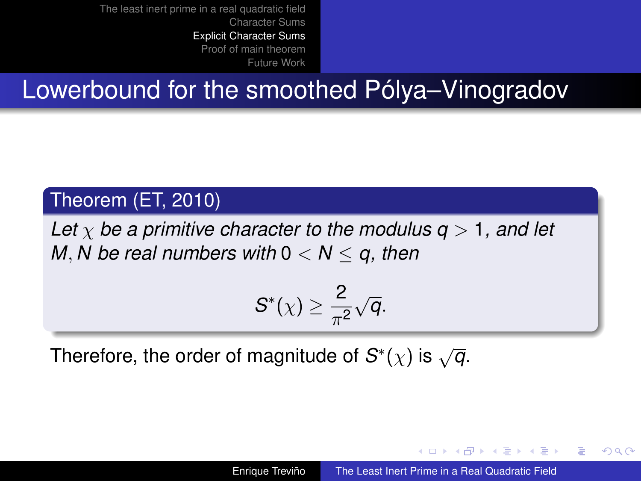## Lowerbound for the smoothed Pólya–Vinogradov

#### Theorem (ET, 2010)

*Let*  $\chi$  *be a primitive character to the modulus q > 1, and let M*, *N be real numbers with* 0 < *N* ≤ *q, then*

$$
S^*(\chi)\geq \frac{2}{\pi^2}\sqrt{q}.
$$

Therefore, the order of magnitude of  $S^*(\chi)$  is  $\sqrt{q}$ .

イロト イ押 トイヨ トイヨト

ă,  $QQ$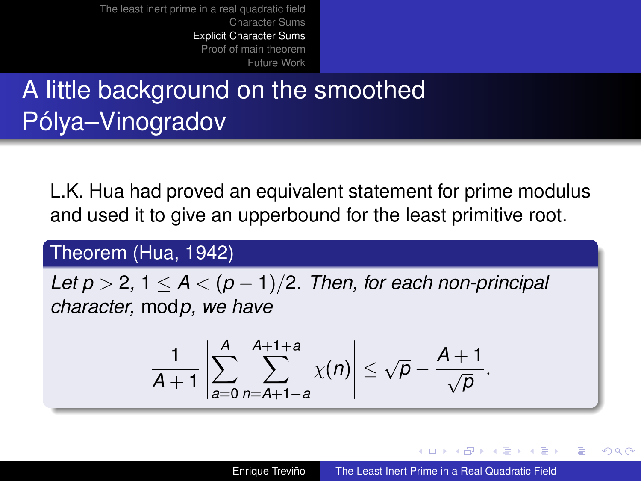# A little background on the smoothed Pólya–Vinogradov

L.K. Hua had proved an equivalent statement for prime modulus and used it to give an upperbound for the least primitive root.

#### Theorem (Hua, 1942)

*Let p* > 2, 1  $\lt$  *A*  $\lt$  (*p* − 1)/2*. Then, for each non-principal character,* mod*p, we have*

$$
\frac{1}{A+1}\left|\sum_{a=0}^A\sum_{n=A+1-a}^{A+1+a}\chi(n)\right|\leq \sqrt{p}-\frac{A+1}{\sqrt{p}}.
$$

K ロ ⊁ K 何 ≯ K ヨ ⊁ K ヨ ⊁

 $2Q$ 

€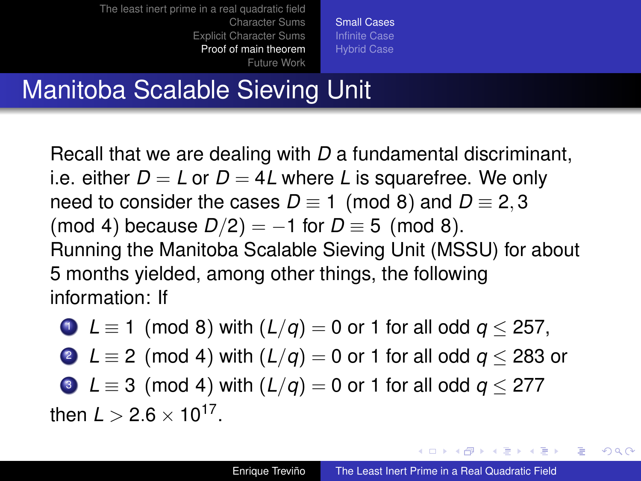[Small Cases](#page-16-0) [Hybrid Case](#page-22-0)

# Manitoba Scalable Sieving Unit

Recall that we are dealing with *D* a fundamental discriminant, i.e. either  $D = L$  or  $D = 4L$  where L is squarefree. We only need to consider the cases  $D \equiv 1 \pmod{8}$  and  $D \equiv 2, 3$ (mod 4) because  $D/2$ ) = -1 for  $D \equiv 5$  (mod 8). Running the Manitoba Scalable Sieving Unit (MSSU) for about 5 months yielded, among other things, the following information: If

 $\bullet$  *L* ≡ 1 (mod 8) with  $(L/q) = 0$  or 1 for all odd  $q \le 257$ ,

2  $L \equiv 2 \pmod{4}$  with  $(L/q) = 0$  or 1 for all odd  $q < 283$  or

 $\bullet$  *L*  $\equiv$  3 (mod 4) with (*L*/*q*) = 0 or 1 for all odd *q* < 277 then  $L > 2.6 \times 10^{17}$ .

イロト イ押 トイヨ トイヨト

 $2Q$ 

<span id="page-16-0"></span>∍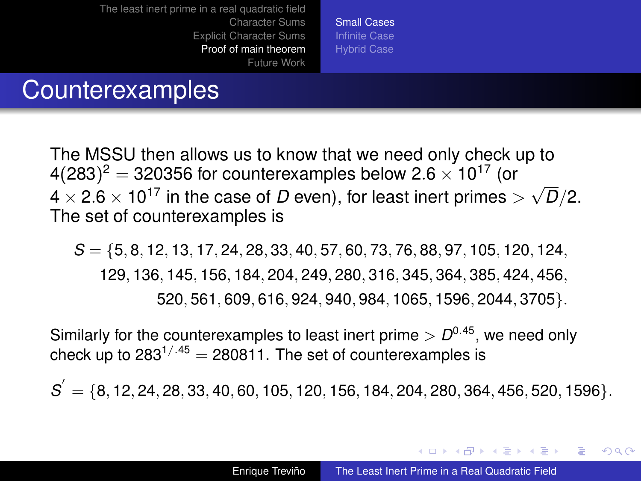[Small Cases](#page-16-0) [Hybrid Case](#page-22-0)

### Counterexamples

The MSSU then allows us to know that we need only check up to 4(283) $^2$  = 320356 for counterexamples below 2.6  $\times$  10 $^{17}$  (or  $4(283)$  = 320336 for counterexamples below 2.6  $\times$  10  $^{10}$  (or 4  $\times$  2.6  $\times$  10<sup>17</sup> in the case of *D* even), for least inert primes  $>$   $\sqrt{ }$ *D*/2. The set of counterexamples is

*S* = {5, 8, 12, 13, 17, 24, 28, 33, 40, 57, 60, 73, 76, 88, 97, 105, 120, 124, 129, 136, 145, 156, 184, 204, 249, 280, 316, 345, 364, 385, 424, 456, 520, 561, 609, 616, 924, 940, 984, 1065, 1596, 2044, 3705}.

Similarly for the counterexamples to least inert prime  $> D^{0.45}$ , we need only check up to  $283^{1/45}$  = 280811. The set of counterexamples is

 $S = \{8, 12, 24, 28, 33, 40, 60, 105, 120, 156, 184, 204, 280, 364, 456, 520, 1596\}.$ 

イロト イ押 トイヨ トイヨ トー

È.  $2Q$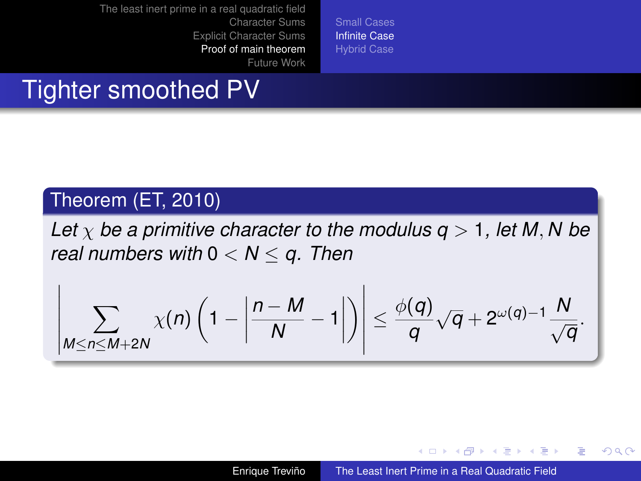[Small Cases](#page-16-0) [Infinite Case](#page-18-0) [Hybrid Case](#page-22-0)

### Tighter smoothed PV

### Theorem (ET, 2010)

*Let*  $\chi$  *be a primitive character to the modulus q > 1, let M, N be real numbers with* 0 < *N* ≤ *q. Then*

$$
\left|\sum_{M\leq n\leq M+2N}\chi(n)\left(1-\left|\frac{n-M}{N}-1\right|\right)\right|\leq \frac{\phi(q)}{q}\sqrt{q}+2^{\omega(q)-1}\frac{N}{\sqrt{q}}.
$$

K ロ ⊁ K 何 ≯ K ヨ ⊁ K ヨ ⊁

B

<span id="page-18-0"></span> $QQ$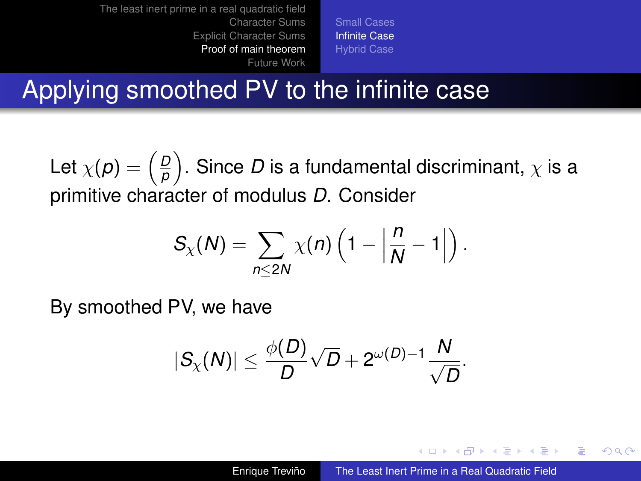[Small Cases](#page-16-0) [Infinite Case](#page-18-0) [Hybrid Case](#page-22-0)

## Applying smoothed PV to the infinite case

Let  $\chi(\boldsymbol{\rho}) = \left(\frac{\boldsymbol{\rho}}{\boldsymbol{\rho}}\right)$  $\left(\frac{D}{\rho}\right)$ . Since  $D$  is a fundamental discriminant,  $\chi$  is a primitive character of modulus *D*. Consider

$$
S_{\chi}(N)=\sum_{n\leq 2N}\chi(n)\left(1-\left|\frac{n}{N}-1\right|\right).
$$

By smoothed PV, we have

$$
|S_{\chi}(N)| \leq \frac{\phi(D)}{D} \sqrt{D} + 2^{\omega(D)-1} \frac{N}{\sqrt{D}}.
$$

イロト イ団ト イヨト イヨト

B

 $QQ$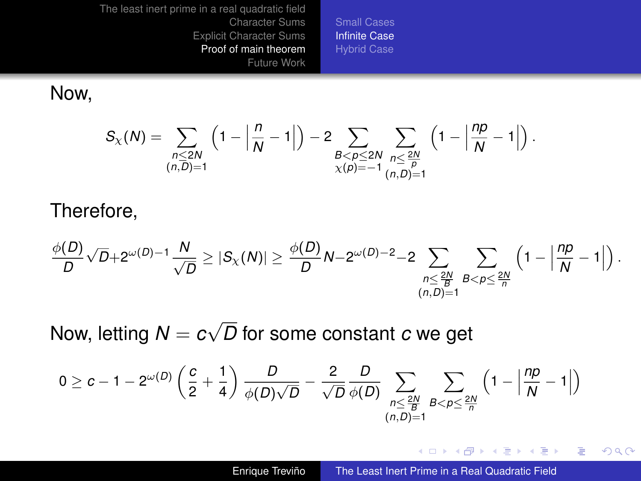[Small Cases](#page-16-0) [Infinite Case](#page-18-0) [Hybrid Case](#page-22-0)

Now,

$$
S_{\chi}(N)=\sum_{\substack{n\leq 2N\\ (n,\overline{D})=1}}\left(1-\left|\frac{n}{N}-1\right|\right)-2\sum_{\substack{B
$$

#### Therefore,

$$
\frac{\phi(D)}{D}\sqrt{D}+2^{\omega(D)-1}\frac{N}{\sqrt{D}}\geq |S_{\chi}(N)|\geq \frac{\phi(D)}{D}N-2^{\omega(D)-2}-2\sum_{\substack{n\leq \frac{2N}{B}\\(n,D)=1}}\sum_{B< p\leq \frac{2N}{n}}\left(1-\left|\frac{np}{N}-1\right|\right).
$$

Now, letting *N* = *c* √ *D* for some constant *c* we get

$$
0 \geq c-1 - 2^{\omega(D)}\left(\frac{c}{2}+\frac{1}{4}\right)\frac{D}{\phi(D)\sqrt{D}} - \frac{2}{\sqrt{D}}\frac{D}{\phi(D)}\sum_{\substack{n \leq \frac{2N}{B}\\ (n,D)=1}}\sum_{B < p \leq \frac{2N}{n}}\left(1-\left|\frac{np}{N}-1\right|\right)
$$

 $(1 - 4)$   $(1 - 4)$   $(1 - 4)$   $(1 - 4)$   $(1 - 4)$   $(1 - 4)$   $(1 - 4)$   $(1 - 4)$   $(1 - 4)$   $(1 - 4)$   $(1 - 4)$   $(1 - 4)$   $(1 - 4)$   $(1 - 4)$   $(1 - 4)$   $(1 - 4)$   $(1 - 4)$   $(1 - 4)$   $(1 - 4)$   $(1 - 4)$   $(1 - 4)$   $(1 - 4)$   $(1 - 4)$   $(1 - 4)$   $(1 -$ 

÷.

 $299$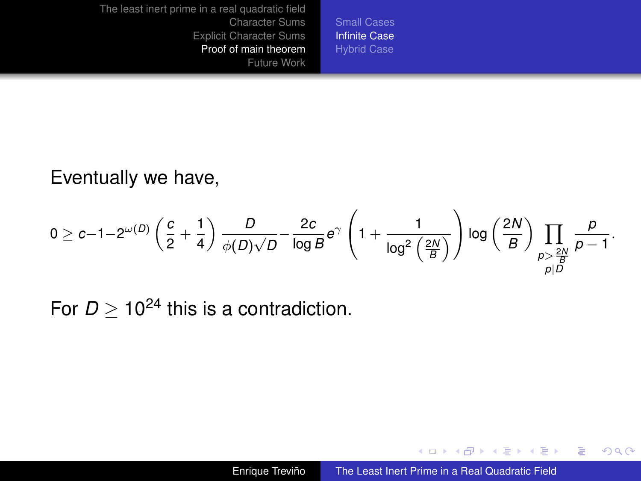[Small Cases](#page-16-0) [Infinite Case](#page-18-0) [Hybrid Case](#page-22-0)

Eventually we have,

$$
0 \geq c-1-2^{\omega(D)}\left(\frac{c}{2}+\frac{1}{4}\right)\frac{D}{\phi(D)\sqrt{D}}-\frac{2c}{\log B}e^{\gamma}\left(1+\frac{1}{\log^2\left(\frac{2N}{B}\right)}\right)\log\left(\frac{2N}{B}\right)\prod_{\substack{p>\frac{2N}{B}\\p\mid D}}\frac{p}{p-1}.
$$

For  $D > 10^{24}$  this is a contradiction.

 $(1 - 4)$   $(1 - 4)$   $(1 - 4)$   $(1 - 4)$   $(1 - 4)$   $(1 - 4)$   $(1 - 4)$   $(1 - 4)$   $(1 - 4)$   $(1 - 4)$   $(1 - 4)$   $(1 - 4)$   $(1 - 4)$   $(1 - 4)$   $(1 - 4)$   $(1 - 4)$   $(1 - 4)$   $(1 - 4)$   $(1 - 4)$   $(1 - 4)$   $(1 - 4)$   $(1 - 4)$   $(1 - 4)$   $(1 - 4)$   $(1 -$ 

重。  $299$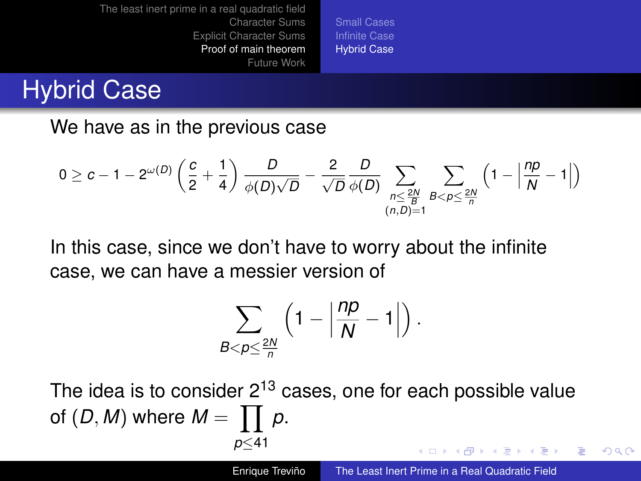[Small Cases](#page-16-0) [Hybrid Case](#page-22-0)

## Hybrid Case

We have as in the previous case

$$
0 \geq c-1 - 2^{\omega(D)}\left(\frac{c}{2} + \frac{1}{4}\right)\frac{D}{\phi(D)\sqrt{D}} - \frac{2}{\sqrt{D}}\frac{D}{\phi(D)}\sum_{\substack{n \leq \frac{2N}{B}\\ (n,D)=1}}\sum_{B < p \leq \frac{2N}{n}}\left(1 - \left|\frac{np}{N} - 1\right|\right)
$$

In this case, since we don't have to worry about the infinite case, we can have a messier version of

<span id="page-22-0"></span>
$$
\sum_{B < p \leq \frac{2N}{n}} \left(1 - \left|\frac{np}{N} - 1\right|\right).
$$

The idea is to consider  $2^{13}$  cases, one for each possible value of  $(D, M)$  where  $M = \prod p$ . *p*≤41 **≮ロト ⊀ 何 ト ⊀ ヨ ト ⊀ ヨ ト**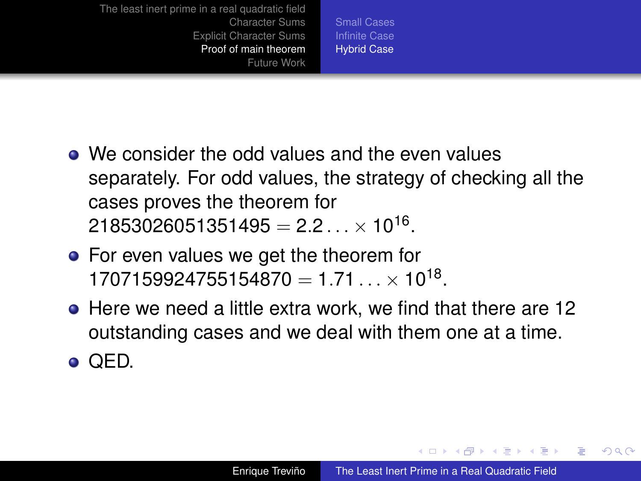[Small Cases](#page-16-0) [Hybrid Case](#page-22-0)

- We consider the odd values and the even values separately. For odd values, the strategy of checking all the cases proves the theorem for  $21853026051351495 = 2.2... \times 10^{16}.$
- For even values we get the theorem for  $1707159924755154870 = 1.71... \times 10^{18}$ .
- Here we need a little extra work, we find that there are 12 outstanding cases and we deal with them one at a time.

 $\bullet$  QED.

イロメ イ押 メイヨメ イヨメ

È.  $2Q$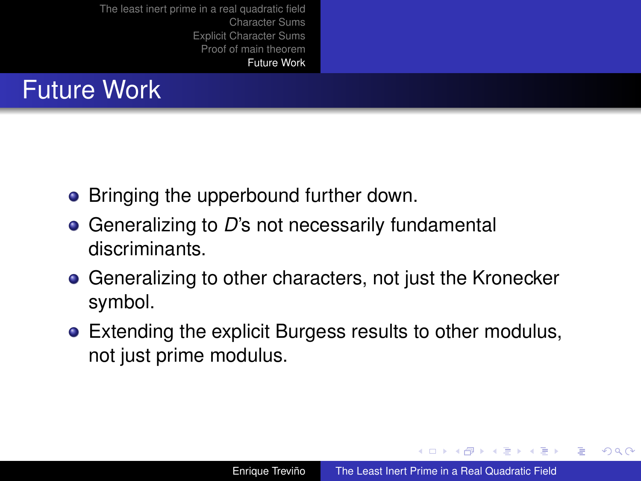

- Bringing the upperbound further down.
- **●** Generalizing to D's not necessarily fundamental discriminants.
- **Generalizing to other characters, not just the Kronecker** symbol.
- Extending the explicit Burgess results to other modulus, not just prime modulus.

イロト イ押ト イヨト イヨト

 $2Q$ 

<span id="page-24-0"></span>э